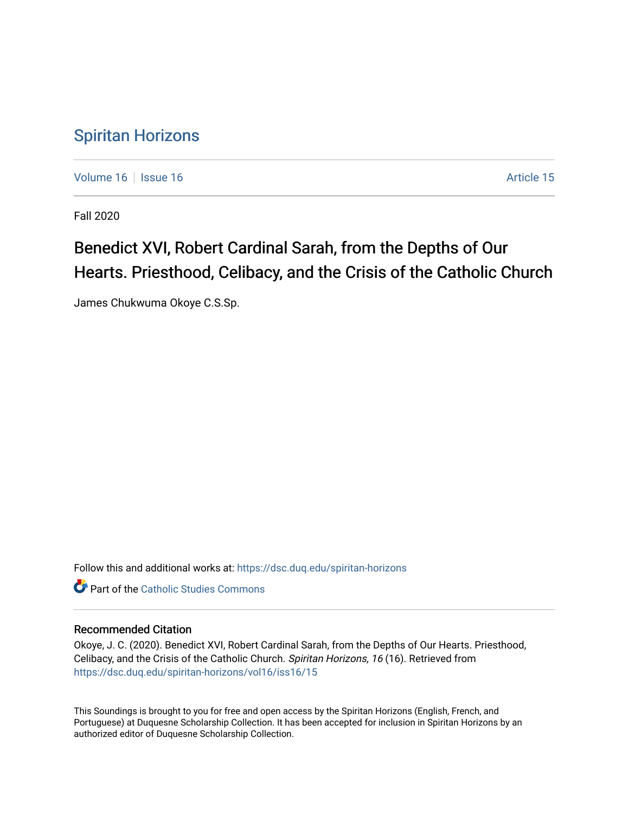### [Spiritan Horizons](https://dsc.duq.edu/spiritan-horizons)

[Volume 16](https://dsc.duq.edu/spiritan-horizons/vol16) September 16 Article 15

Fall 2020

## Benedict XVI, Robert Cardinal Sarah, from the Depths of Our Hearts. Priesthood, Celibacy, and the Crisis of the Catholic Church

James Chukwuma Okoye C.S.Sp.

Follow this and additional works at: [https://dsc.duq.edu/spiritan-horizons](https://dsc.duq.edu/spiritan-horizons?utm_source=dsc.duq.edu%2Fspiritan-horizons%2Fvol16%2Fiss16%2F15&utm_medium=PDF&utm_campaign=PDFCoverPages)

**C** Part of the [Catholic Studies Commons](http://network.bepress.com/hgg/discipline/1294?utm_source=dsc.duq.edu%2Fspiritan-horizons%2Fvol16%2Fiss16%2F15&utm_medium=PDF&utm_campaign=PDFCoverPages)

#### Recommended Citation

Okoye, J. C. (2020). Benedict XVI, Robert Cardinal Sarah, from the Depths of Our Hearts. Priesthood, Celibacy, and the Crisis of the Catholic Church. Spiritan Horizons, 16 (16). Retrieved from [https://dsc.duq.edu/spiritan-horizons/vol16/iss16/15](https://dsc.duq.edu/spiritan-horizons/vol16/iss16/15?utm_source=dsc.duq.edu%2Fspiritan-horizons%2Fvol16%2Fiss16%2F15&utm_medium=PDF&utm_campaign=PDFCoverPages) 

This Soundings is brought to you for free and open access by the Spiritan Horizons (English, French, and Portuguese) at Duquesne Scholarship Collection. It has been accepted for inclusion in Spiritan Horizons by an authorized editor of Duquesne Scholarship Collection.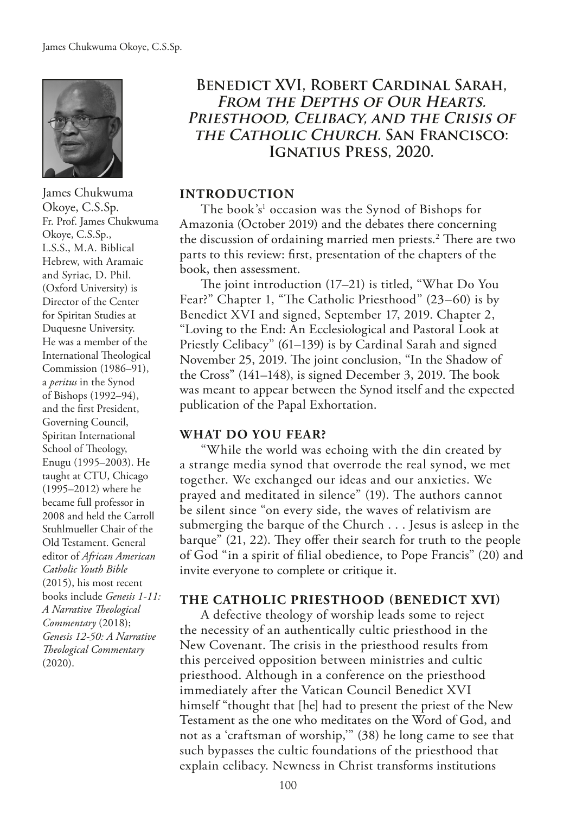

James Chukwuma Okoye, C.S.Sp. Fr. Prof. James Chukwuma Okoye, C.S.Sp., L.S.S., M.A. Biblical Hebrew, with Aramaic and Syriac, D. Phil. (Oxford University) is Director of the Center for Spiritan Studies at Duquesne University. He was a member of the International Theological Commission (1986–91), a *peritus* in the Synod of Bishops (1992–94), and the frst President, Governing Council, Spiritan International School of Theology, Enugu (1995–2003). He taught at CTU, Chicago (1995–2012) where he became full professor in 2008 and held the Carroll Stuhlmueller Chair of the Old Testament. General editor of *African American Catholic Youth Bible* (2015), his most recent books include *Genesis 1-11:*  A Narrative Theological *Commentary* (2018); *Genesis 12-50: A Narrative Teological Commentary*  (2020).

#### **Benedict XVI, Robert Cardinal Sarah, From the Depths of Our Hearts. Priesthood, Celibacy, and the Crisis of the Catholic Church. San Francisco: Ignatius Press, 2020.**

#### **INTRODUCTION**

The book's<sup>1</sup> occasion was the Synod of Bishops for Amazonia (October 2019) and the debates there concerning the discussion of ordaining married men priests.<sup>2</sup> There are two parts to this review: frst, presentation of the chapters of the book, then assessment.

The joint introduction  $(17–21)$  is titled, "What Do You Fear?" Chapter 1, "The Catholic Priesthood" (23–60) is by Benedict XVI and signed, September 17, 2019. Chapter 2, "Loving to the End: An Ecclesiological and Pastoral Look at Priestly Celibacy" (61–139) is by Cardinal Sarah and signed November 25, 2019. The joint conclusion, "In the Shadow of the Cross"  $(141-148)$ , is signed December 3, 2019. The book was meant to appear between the Synod itself and the expected publication of the Papal Exhortation.

#### **WHAT DO YOU FEAR?**

"While the world was echoing with the din created by a strange media synod that overrode the real synod, we met together. We exchanged our ideas and our anxieties. We prayed and meditated in silence" (19). The authors cannot be silent since "on every side, the waves of relativism are submerging the barque of the Church . . . Jesus is asleep in the barque" (21, 22). They offer their search for truth to the people of God "in a spirit of flial obedience, to Pope Francis" (20) and invite everyone to complete or critique it.

#### **THE CATHOLIC PRIESTHOOD (BENEDICT XVI)**

A defective theology of worship leads some to reject the necessity of an authentically cultic priesthood in the New Covenant. The crisis in the priesthood results from this perceived opposition between ministries and cultic priesthood. Although in a conference on the priesthood immediately after the Vatican Council Benedict XVI himself "thought that [he] had to present the priest of the New Testament as the one who meditates on the Word of God, and not as a 'craftsman of worship,'" (38) he long came to see that such bypasses the cultic foundations of the priesthood that explain celibacy. Newness in Christ transforms institutions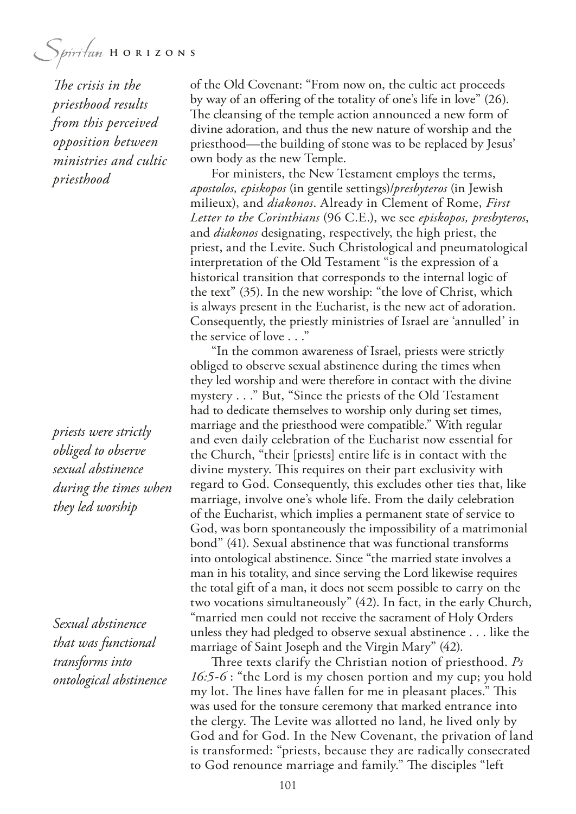The crisis in the *priesthood results from this perceived opposition between ministries and cultic priesthood*

*priests were strictly obliged to observe sexual abstinence during the times when they led worship*

*Sexual abstinence that was functional transforms into ontological abstinence* of the Old Covenant: "From now on, the cultic act proceeds by way of an ofering of the totality of one's life in love" (26). The cleansing of the temple action announced a new form of divine adoration, and thus the new nature of worship and the priesthood—the building of stone was to be replaced by Jesus' own body as the new Temple.

For ministers, the New Testament employs the terms, *apostolos, episkopos* (in gentile settings)/*presbyteros* (in Jewish milieux), and *diakonos*. Already in Clement of Rome, *First Letter to the Corinthians* (96 C.E.), we see *episkopos, presbyteros*, and *diakonos* designating, respectively, the high priest, the priest, and the Levite. Such Christological and pneumatological interpretation of the Old Testament "is the expression of a historical transition that corresponds to the internal logic of the text" (35). In the new worship: "the love of Christ, which is always present in the Eucharist, is the new act of adoration. Consequently, the priestly ministries of Israel are 'annulled' in the service of love . . ."

"In the common awareness of Israel, priests were strictly obliged to observe sexual abstinence during the times when they led worship and were therefore in contact with the divine mystery . . ." But, "Since the priests of the Old Testament had to dedicate themselves to worship only during set times, marriage and the priesthood were compatible." With regular and even daily celebration of the Eucharist now essential for the Church, "their [priests] entire life is in contact with the divine mystery. This requires on their part exclusivity with regard to God. Consequently, this excludes other ties that, like marriage, involve one's whole life. From the daily celebration of the Eucharist, which implies a permanent state of service to God, was born spontaneously the impossibility of a matrimonial bond" (41). Sexual abstinence that was functional transforms into ontological abstinence. Since "the married state involves a man in his totality, and since serving the Lord likewise requires the total gift of a man, it does not seem possible to carry on the two vocations simultaneously" (42). In fact, in the early Church, "married men could not receive the sacrament of Holy Orders unless they had pledged to observe sexual abstinence . . . like the marriage of Saint Joseph and the Virgin Mary" (42).

Three texts clarify the Christian notion of priesthood. *Ps 16:5-6* : "the Lord is my chosen portion and my cup; you hold my lot. The lines have fallen for me in pleasant places." This was used for the tonsure ceremony that marked entrance into the clergy. The Levite was allotted no land, he lived only by God and for God. In the New Covenant, the privation of land is transformed: "priests, because they are radically consecrated to God renounce marriage and family." The disciples "left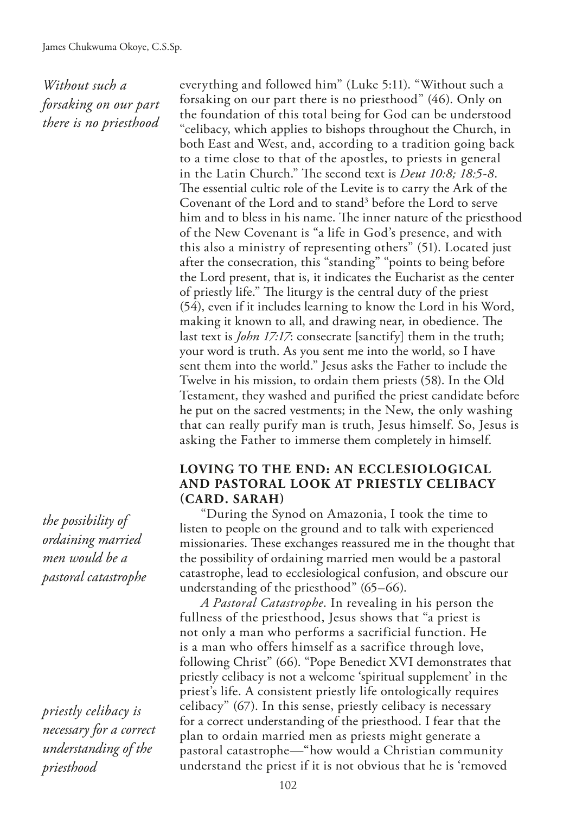*Without such a forsaking on our part there is no priesthood*

everything and followed him" (Luke 5:11). "Without such a forsaking on our part there is no priesthood" (46). Only on the foundation of this total being for God can be understood "celibacy, which applies to bishops throughout the Church, in both East and West, and, according to a tradition going back to a time close to that of the apostles, to priests in general in the Latin Church." The second text is *Deut 10:8; 18:5-8*. The essential cultic role of the Levite is to carry the Ark of the Covenant of the Lord and to stand<sup>3</sup> before the Lord to serve him and to bless in his name. The inner nature of the priesthood of the New Covenant is "a life in God's presence, and with this also a ministry of representing others" (51). Located just after the consecration, this "standing" "points to being before the Lord present, that is, it indicates the Eucharist as the center of priestly life." The liturgy is the central duty of the priest (54), even if it includes learning to know the Lord in his Word, making it known to all, and drawing near, in obedience. The last text is *John 17:17*: consecrate [sanctify] them in the truth; your word is truth. As you sent me into the world, so I have sent them into the world." Jesus asks the Father to include the Twelve in his mission, to ordain them priests (58). In the Old Testament, they washed and purifed the priest candidate before he put on the sacred vestments; in the New, the only washing that can really purify man is truth, Jesus himself. So, Jesus is asking the Father to immerse them completely in himself.

#### **LOVING TO THE END: AN ECCLESIOLOGICAL AND PASTORAL LOOK AT PRIESTLY CELIBACY (CARD. SARAH)**

"During the Synod on Amazonia, I took the time to listen to people on the ground and to talk with experienced missionaries. These exchanges reassured me in the thought that the possibility of ordaining married men would be a pastoral catastrophe, lead to ecclesiological confusion, and obscure our understanding of the priesthood" (65–66).

*A Pastoral Catastrophe*. In revealing in his person the fullness of the priesthood, Jesus shows that "a priest is not only a man who performs a sacrificial function. He is a man who offers himself as a sacrifice through love, following Christ" (66). "Pope Benedict XVI demonstrates that priestly celibacy is not a welcome 'spiritual supplement' in the priest's life. A consistent priestly life ontologically requires celibacy" (67). In this sense, priestly celibacy is necessary for a correct understanding of the priesthood. I fear that the plan to ordain married men as priests might generate a pastoral catastrophe—"how would a Christian community understand the priest if it is not obvious that he is 'removed

*the possibility of ordaining married men would be a pastoral catastrophe*

*priestly celibacy is necessary for a correct understanding of the priesthood*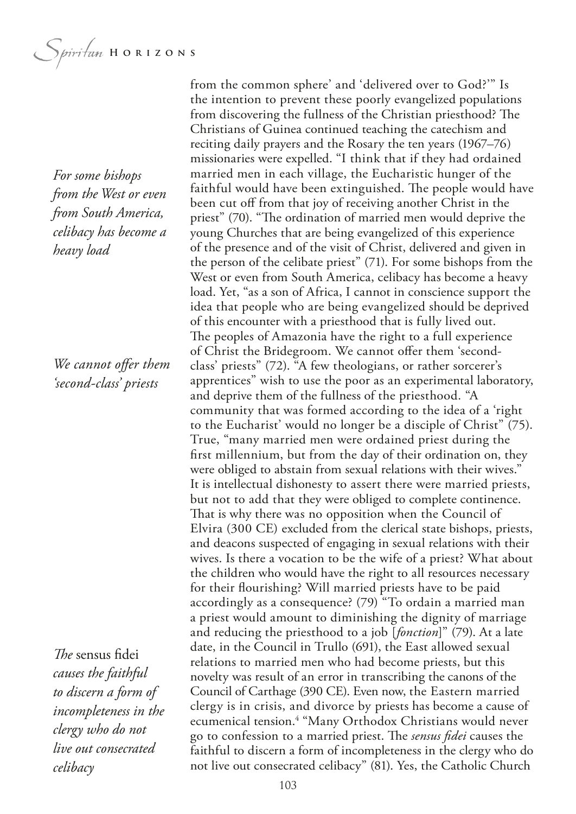*For some bishops from the West or even from South America, celibacy has become a heavy load*

*We cannot ofer them 'second-class' priests*

*The* sensus fidei *causes the faithful to discern a form of incompleteness in the clergy who do not live out consecrated celibacy*

from the common sphere' and 'delivered over to God?'" Is the intention to prevent these poorly evangelized populations from discovering the fullness of the Christian priesthood? The Christians of Guinea continued teaching the catechism and reciting daily prayers and the Rosary the ten years (1967–76) missionaries were expelled. "I think that if they had ordained married men in each village, the Eucharistic hunger of the faithful would have been extinguished. The people would have been cut off from that joy of receiving another Christ in the priest" (70). "The ordination of married men would deprive the young Churches that are being evangelized of this experience of the presence and of the visit of Christ, delivered and given in the person of the celibate priest" (71). For some bishops from the West or even from South America, celibacy has become a heavy load. Yet, "as a son of Africa, I cannot in conscience support the idea that people who are being evangelized should be deprived of this encounter with a priesthood that is fully lived out. The peoples of Amazonia have the right to a full experience of Christ the Bridegroom. We cannot offer them 'secondclass' priests" (72). "A few theologians, or rather sorcerer's apprentices" wish to use the poor as an experimental laboratory, and deprive them of the fullness of the priesthood. "A community that was formed according to the idea of a 'right to the Eucharist' would no longer be a disciple of Christ" (75). True, "many married men were ordained priest during the frst millennium, but from the day of their ordination on, they were obliged to abstain from sexual relations with their wives." It is intellectual dishonesty to assert there were married priests, but not to add that they were obliged to complete continence. That is why there was no opposition when the Council of Elvira (300 CE) excluded from the clerical state bishops, priests, and deacons suspected of engaging in sexual relations with their wives. Is there a vocation to be the wife of a priest? What about the children who would have the right to all resources necessary for their fourishing? Will married priests have to be paid accordingly as a consequence? (79) "To ordain a married man a priest would amount to diminishing the dignity of marriage and reducing the priesthood to a job [*fonction*]" (79). At a late date, in the Council in Trullo (691), the East allowed sexual relations to married men who had become priests, but this novelty was result of an error in transcribing the canons of the Council of Carthage (390 CE). Even now, the Eastern married clergy is in crisis, and divorce by priests has become a cause of ecumenical tension.<sup>4</sup> "Many Orthodox Christians would never go to confession to a married priest. The *sensus fidei* causes the faithful to discern a form of incompleteness in the clergy who do not live out consecrated celibacy" (81). Yes, the Catholic Church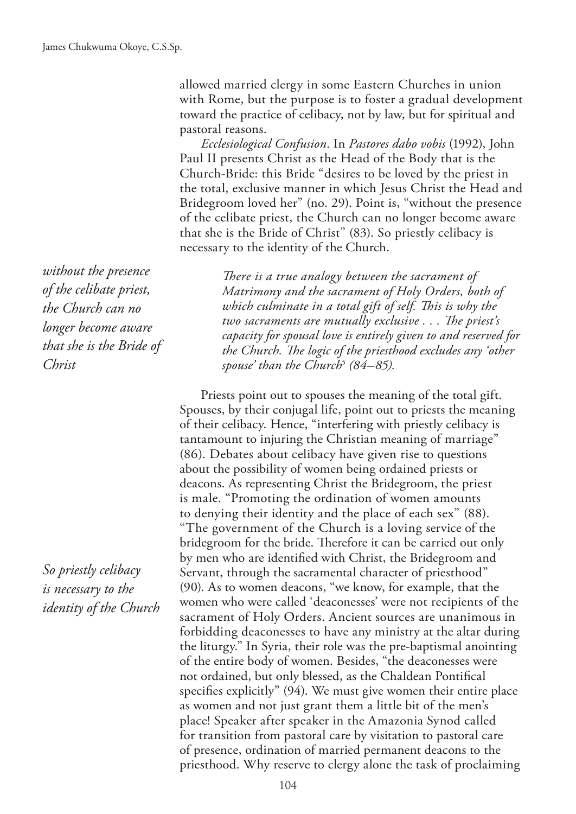allowed married clergy in some Eastern Churches in union with Rome, but the purpose is to foster a gradual development toward the practice of celibacy, not by law, but for spiritual and pastoral reasons.

*Ecclesiological Confusion*. In *Pastores dabo vobis* (1992), John Paul II presents Christ as the Head of the Body that is the Church-Bride: this Bride "desires to be loved by the priest in the total, exclusive manner in which Jesus Christ the Head and Bridegroom loved her" (no. 29). Point is, "without the presence of the celibate priest, the Church can no longer become aware that she is the Bride of Christ" (83). So priestly celibacy is necessary to the identity of the Church.

*without the presence of the celibate priest, the Church can no longer become aware that she is the Bride of Christ*

*So priestly celibacy is necessary to the identity of the Church*

There is a true analogy between the sacrament of *Matrimony and the sacrament of Holy Orders, both of*  which culminate in a total gift of self. This is why the two sacraments are mutually exclusive . . . The priest's *capacity for spousal love is entirely given to and reserved for*  the Church. The logic of the priesthood excludes any 'other *spouse' than the Church5 (84–85).*

Priests point out to spouses the meaning of the total gift. Spouses, by their conjugal life, point out to priests the meaning of their celibacy. Hence, "interfering with priestly celibacy is tantamount to injuring the Christian meaning of marriage" (86). Debates about celibacy have given rise to questions about the possibility of women being ordained priests or deacons. As representing Christ the Bridegroom, the priest is male. "Promoting the ordination of women amounts to denying their identity and the place of each sex" (88). "The government of the Church is a loving service of the bridegroom for the bride. Therefore it can be carried out only by men who are identifed with Christ, the Bridegroom and Servant, through the sacramental character of priesthood" (90). As to women deacons, "we know, for example, that the women who were called 'deaconesses' were not recipients of the sacrament of Holy Orders. Ancient sources are unanimous in forbidding deaconesses to have any ministry at the altar during the liturgy." In Syria, their role was the pre-baptismal anointing of the entire body of women. Besides, "the deaconesses were not ordained, but only blessed, as the Chaldean Pontifcal specifes explicitly" (94). We must give women their entire place as women and not just grant them a little bit of the men's place! Speaker after speaker in the Amazonia Synod called for transition from pastoral care by visitation to pastoral care of presence, ordination of married permanent deacons to the priesthood. Why reserve to clergy alone the task of proclaiming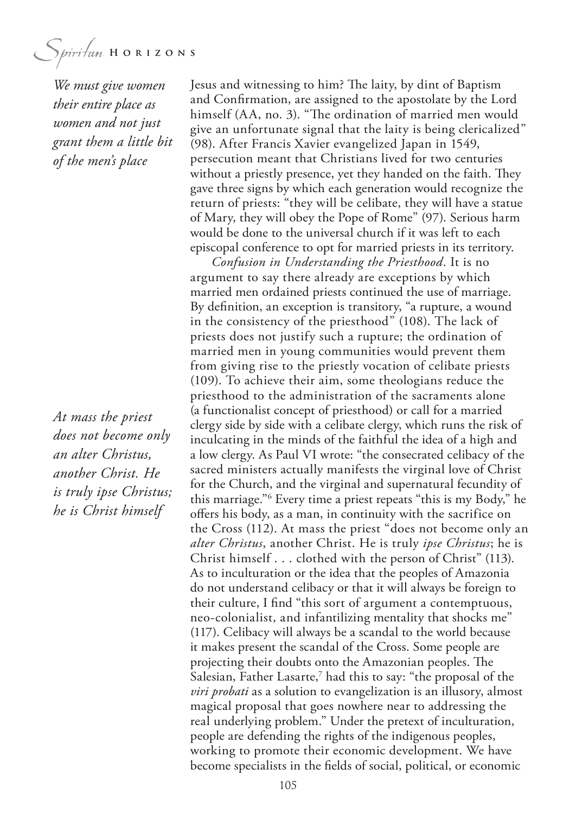*We must give women their entire place as women and not just grant them a little bit of the men's place*

*At mass the priest does not become only an alter Christus, another Christ. He is truly ipse Christus; he is Christ himself*

Jesus and witnessing to him? The laity, by dint of Baptism and Confrmation, are assigned to the apostolate by the Lord himself (AA, no. 3). "The ordination of married men would give an unfortunate signal that the laity is being clericalized" (98). After Francis Xavier evangelized Japan in 1549, persecution meant that Christians lived for two centuries without a priestly presence, yet they handed on the faith. They gave three signs by which each generation would recognize the return of priests: "they will be celibate, they will have a statue of Mary, they will obey the Pope of Rome" (97). Serious harm would be done to the universal church if it was left to each episcopal conference to opt for married priests in its territory.

*Confusion in Understanding the Priesthood*. It is no argument to say there already are exceptions by which married men ordained priests continued the use of marriage. By defnition, an exception is transitory, "a rupture, a wound in the consistency of the priesthood" (108). The lack of priests does not justify such a rupture; the ordination of married men in young communities would prevent them from giving rise to the priestly vocation of celibate priests (109). To achieve their aim, some theologians reduce the priesthood to the administration of the sacraments alone (a functionalist concept of priesthood) or call for a married clergy side by side with a celibate clergy, which runs the risk of inculcating in the minds of the faithful the idea of a high and a low clergy. As Paul VI wrote: "the consecrated celibacy of the sacred ministers actually manifests the virginal love of Christ for the Church, and the virginal and supernatural fecundity of this marriage."6 Every time a priest repeats "this is my Body," he ofers his body, as a man, in continuity with the sacrifice on the Cross (112). At mass the priest "does not become only an *alter Christus*, another Christ. He is truly *ipse Christus*; he is Christ himself . . . clothed with the person of Christ" (113). As to inculturation or the idea that the peoples of Amazonia do not understand celibacy or that it will always be foreign to their culture, I fnd "this sort of argument a contemptuous, neo-colonialist, and infantilizing mentality that shocks me" (117). Celibacy will always be a scandal to the world because it makes present the scandal of the Cross. Some people are projecting their doubts onto the Amazonian peoples. The Salesian, Father Lasarte,<sup>7</sup> had this to say: "the proposal of the *viri probati* as a solution to evangelization is an illusory, almost magical proposal that goes nowhere near to addressing the real underlying problem." Under the pretext of inculturation, people are defending the rights of the indigenous peoples, working to promote their economic development. We have become specialists in the felds of social, political, or economic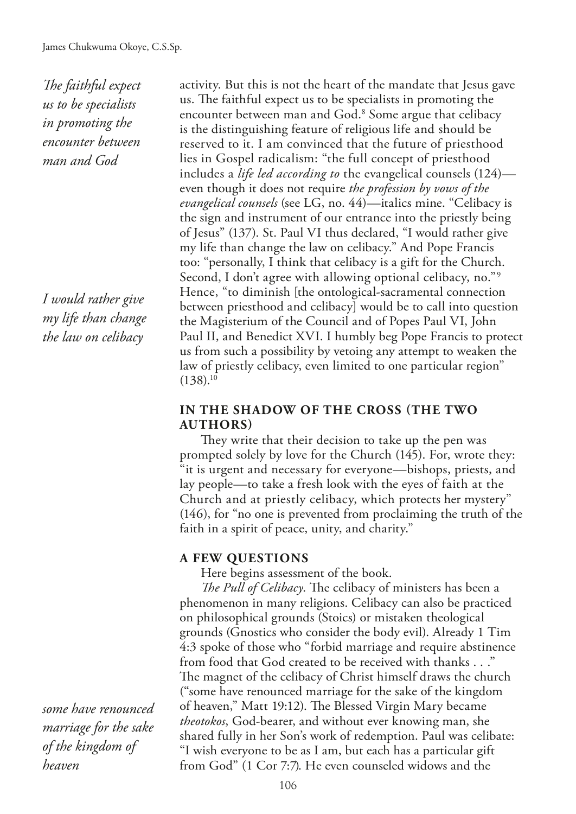*The faithful expect us to be specialists in promoting the encounter between man and God*

*I would rather give my life than change the law on celibacy*

*some have renounced marriage for the sake of the kingdom of heaven*

activity. But this is not the heart of the mandate that Jesus gave us. The faithful expect us to be specialists in promoting the encounter between man and God.<sup>8</sup> Some argue that celibacy is the distinguishing feature of religious life and should be reserved to it. I am convinced that the future of priesthood lies in Gospel radicalism: "the full concept of priesthood includes a *life led according to* the evangelical counsels (124) even though it does not require *the profession by vows of the evangelical counsels* (see LG, no. 44)—italics mine. "Celibacy is the sign and instrument of our entrance into the priestly being of Jesus" (137). St. Paul VI thus declared, "I would rather give my life than change the law on celibacy." And Pope Francis too: "personally, I think that celibacy is a gift for the Church. Second, I don't agree with allowing optional celibacy, no." 9 Hence, "to diminish [the ontological-sacramental connection between priesthood and celibacy] would be to call into question the Magisterium of the Council and of Popes Paul VI, John Paul II, and Benedict XVI. I humbly beg Pope Francis to protect us from such a possibility by vetoing any attempt to weaken the law of priestly celibacy, even limited to one particular region"  $(138).^{10}$ 

#### **IN THE SHADOW OF THE CROSS (THE TWO AUTHORS)**

They write that their decision to take up the pen was prompted solely by love for the Church (145). For, wrote they: "it is urgent and necessary for everyone—bishops, priests, and lay people—to take a fresh look with the eyes of faith at the Church and at priestly celibacy, which protects her mystery" (146), for "no one is prevented from proclaiming the truth of the faith in a spirit of peace, unity, and charity."

#### **A FEW QUESTIONS**

Here begins assessment of the book.

*The Pull of Celibacy*. The celibacy of ministers has been a phenomenon in many religions. Celibacy can also be practiced on philosophical grounds (Stoics) or mistaken theological grounds (Gnostics who consider the body evil). Already 1 Tim 4:3 spoke of those who "forbid marriage and require abstinence from food that God created to be received with thanks . . ." The magnet of the celibacy of Christ himself draws the church ("some have renounced marriage for the sake of the kingdom of heaven," Matt 19:12). The Blessed Virgin Mary became *theotokos*, God-bearer, and without ever knowing man, she shared fully in her Son's work of redemption. Paul was celibate: "I wish everyone to be as I am, but each has a particular gift from God" (1 Cor 7:7). He even counseled widows and the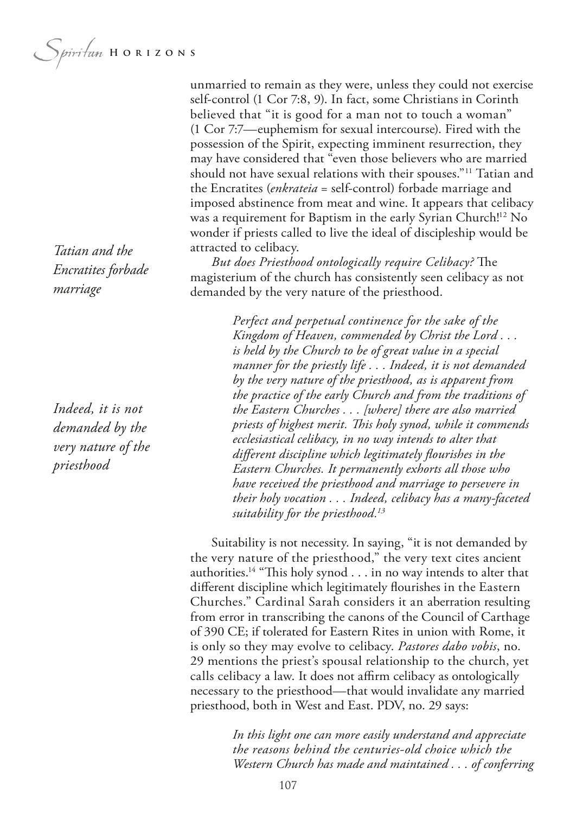*Morritan* HORIZONS

unmarried to remain as they were, unless they could not exercise self-control (1 Cor 7:8, 9). In fact, some Christians in Corinth believed that "it is good for a man not to touch a woman" (1 Cor 7:7—euphemism for sexual intercourse). Fired with the possession of the Spirit, expecting imminent resurrection, they may have considered that "even those believers who are married should not have sexual relations with their spouses."11 Tatian and the Encratites (*enkrateia* = self-control) forbade marriage and imposed abstinence from meat and wine. It appears that celibacy was a requirement for Baptism in the early Syrian Church!<sup>12</sup> No wonder if priests called to live the ideal of discipleship would be attracted to celibacy.

*But does Priesthood ontologically require Celibacy?* The magisterium of the church has consistently seen celibacy as not demanded by the very nature of the priesthood.

> *Perfect and perpetual continence for the sake of the Kingdom of Heaven, commended by Christ the Lord . . . is held by the Church to be of great value in a special manner for the priestly life . . . Indeed, it is not demanded by the very nature of the priesthood, as is apparent from the practice of the early Church and from the traditions of the Eastern Churches . . . [where] there are also married priests of highest merit. Tis holy synod, while it commends ecclesiastical celibacy, in no way intends to alter that diferent discipline which legitimately fourishes in the Eastern Churches. It permanently exhorts all those who have received the priesthood and marriage to persevere in their holy vocation . . . Indeed, celibacy has a many-faceted suitability for the priesthood.13*

Suitability is not necessity. In saying, "it is not demanded by the very nature of the priesthood," the very text cites ancient authorities.<sup>14</sup> "This holy synod  $\ldots$  in no way intends to alter that diferent discipline which legitimately fourishes in the Eastern Churches." Cardinal Sarah considers it an aberration resulting from error in transcribing the canons of the Council of Carthage of 390 CE; if tolerated for Eastern Rites in union with Rome, it is only so they may evolve to celibacy. *Pastores dabo vobis*, no. 29 mentions the priest's spousal relationship to the church, yet calls celibacy a law. It does not afrm celibacy as ontologically necessary to the priesthood—that would invalidate any married priesthood, both in West and East. PDV, no. 29 says:

> *In this light one can more easily understand and appreciate the reasons behind the centuries-old choice which the Western Church has made and maintained . . . of conferring*

*Tatian and the Encratites forbade marriage*

*Indeed, it is not demanded by the very nature of the priesthood*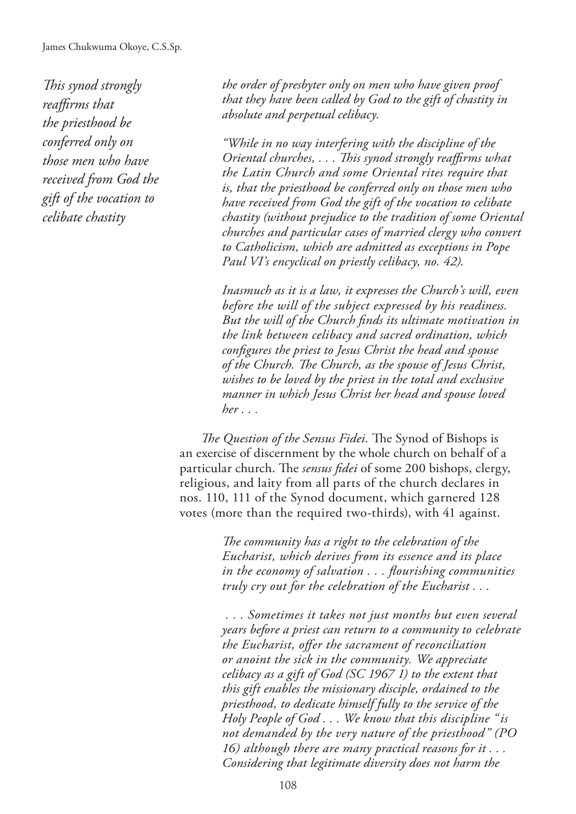*Tis synod strongly reafrms that the priesthood be conferred only on those men who have received from God the gift of the vocation to celibate chastity*

*the order of presbyter only on men who have given proof that they have been called by God to the gift of chastity in absolute and perpetual celibacy.*

*"While in no way interfering with the discipline of the Oriental churches, . . . Tis synod strongly reafrms what the Latin Church and some Oriental rites require that is, that the priesthood be conferred only on those men who have received from God the gift of the vocation to celibate chastity (without prejudice to the tradition of some Oriental churches and particular cases of married clergy who convert to Catholicism, which are admitted as exceptions in Pope Paul VI's encyclical on priestly celibacy, no. 42).* 

*Inasmuch as it is a law, it expresses the Church's will, even before the will of the subject expressed by his readiness. But the will of the Church fnds its ultimate motivation in the link between celibacy and sacred ordination, which confgures the priest to Jesus Christ the head and spouse of the Church. Te Church, as the spouse of Jesus Christ, wishes to be loved by the priest in the total and exclusive manner in which Jesus Christ her head and spouse loved her . . .*

*The Question of the Sensus Fidei*. The Synod of Bishops is an exercise of discernment by the whole church on behalf of a particular church. The *sensus fidei* of some 200 bishops, clergy, religious, and laity from all parts of the church declares in nos. 110, 111 of the Synod document, which garnered 128 votes (more than the required two-thirds), with 41 against.

> The community has a right to the celebration of the *Eucharist, which derives from its essence and its place in the economy of salvation . . . fourishing communities truly cry out for the celebration of the Eucharist . . .*

 *. . . Sometimes it takes not just months but even several years before a priest can return to a community to celebrate the Eucharist, ofer the sacrament of reconciliation or anoint the sick in the community. We appreciate celibacy as a gift of God (SC 1967 1) to the extent that this gift enables the missionary disciple, ordained to the priesthood, to dedicate himself fully to the service of the Holy People of God . . . We know that this discipline "is not demanded by the very nature of the priesthood" (PO 16) although there are many practical reasons for it . . . Considering that legitimate diversity does not harm the*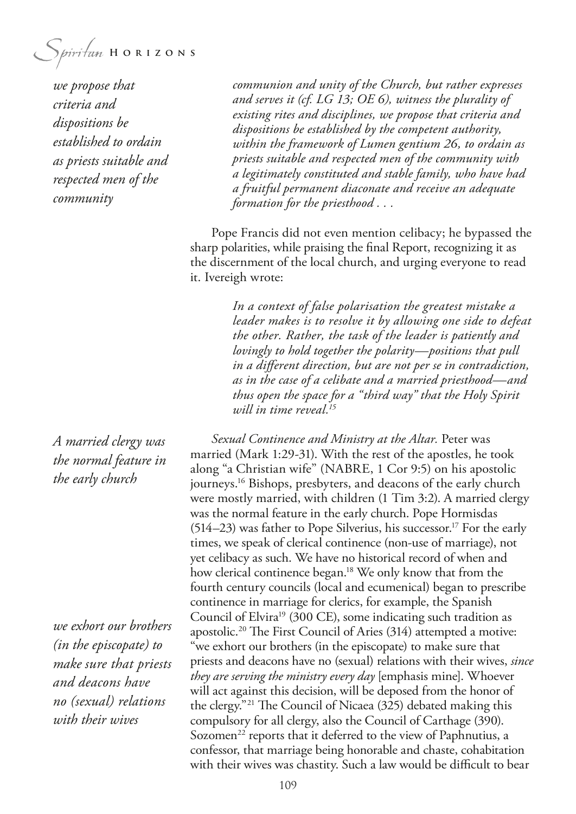Spiritan HORIZONS

*we propose that criteria and dispositions be established to ordain as priests suitable and respected men of the community*

*A married clergy was the normal feature in the early church*

*we exhort our brothers (in the episcopate) to make sure that priests and deacons have no (sexual) relations with their wives*

*communion and unity of the Church, but rather expresses and serves it (cf. LG 13; OE 6), witness the plurality of existing rites and disciplines, we propose that criteria and dispositions be established by the competent authority, within the framework of Lumen gentium 26, to ordain as priests suitable and respected men of the community with a legitimately constituted and stable family, who have had a fruitful permanent diaconate and receive an adequate formation for the priesthood . . .* 

Pope Francis did not even mention celibacy; he bypassed the sharp polarities, while praising the fnal Report, recognizing it as the discernment of the local church, and urging everyone to read it. Ivereigh wrote:

> *In a context of false polarisation the greatest mistake a leader makes is to resolve it by allowing one side to defeat the other. Rather, the task of the leader is patiently and lovingly to hold together the polarity—positions that pull in a diferent direction, but are not per se in contradiction, as in the case of a celibate and a married priesthood—and thus open the space for a "third way" that the Holy Spirit will in time reveal.15*

*Sexual Continence and Ministry at the Altar.* Peter was married (Mark 1:29-31). With the rest of the apostles, he took along "a Christian wife" (NABRE, 1 Cor 9:5) on his apostolic journeys.16 Bishops, presbyters, and deacons of the early church were mostly married, with children (1 Tim 3:2). A married clergy was the normal feature in the early church. Pope Hormisdas  $(514–23)$  was father to Pope Silverius, his successor.<sup>17</sup> For the early times, we speak of clerical continence (non-use of marriage), not yet celibacy as such. We have no historical record of when and how clerical continence began.<sup>18</sup> We only know that from the fourth century councils (local and ecumenical) began to prescribe continence in marriage for clerics, for example, the Spanish Council of Elvira<sup>19</sup> (300 CE), some indicating such tradition as apostolic.<sup>20</sup> The First Council of Aries (314) attempted a motive: "we exhort our brothers (in the episcopate) to make sure that priests and deacons have no (sexual) relations with their wives, *since they are serving the ministry every day* [emphasis mine]. Whoever will act against this decision, will be deposed from the honor of the clergy."<sup>21</sup> The Council of Nicaea  $(325)$  debated making this compulsory for all clergy, also the Council of Carthage (390). Sozomen<sup>22</sup> reports that it deferred to the view of Paphnutius, a confessor, that marriage being honorable and chaste, cohabitation with their wives was chastity. Such a law would be difficult to bear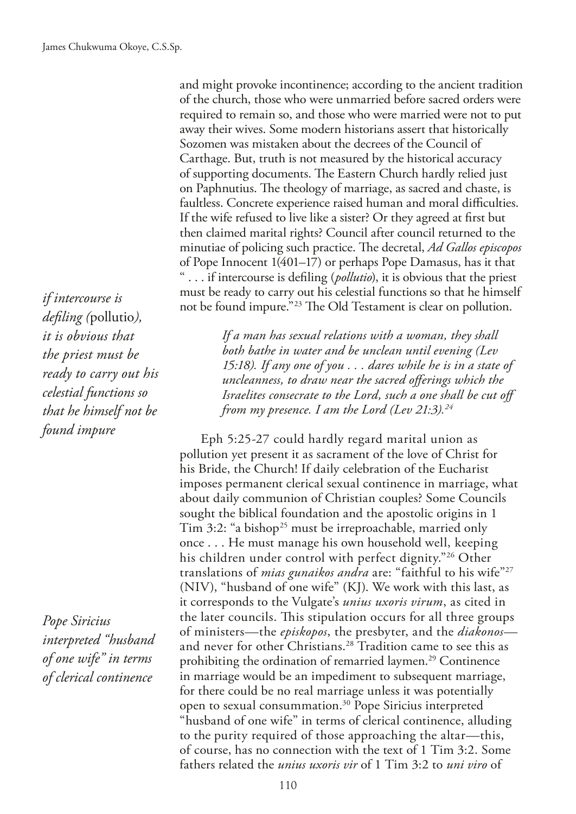and might provoke incontinence; according to the ancient tradition of the church, those who were unmarried before sacred orders were required to remain so, and those who were married were not to put away their wives. Some modern historians assert that historically Sozomen was mistaken about the decrees of the Council of Carthage. But, truth is not measured by the historical accuracy of supporting documents. The Eastern Church hardly relied just on Paphnutius. The theology of marriage, as sacred and chaste, is faultless. Concrete experience raised human and moral difficulties. If the wife refused to live like a sister? Or they agreed at frst but then claimed marital rights? Council after council returned to the minutiae of policing such practice. The decretal, *Ad Gallos episcopos* of Pope Innocent 1(401–17) or perhaps Pope Damasus, has it that " . . . if intercourse is defling (*pollutio*), it is obvious that the priest must be ready to carry out his celestial functions so that he himself not be found impure."<sup>23</sup> The Old Testament is clear on pollution.

> *If a man has sexual relations with a woman, they shall both bathe in water and be unclean until evening (Lev 15:18). If any one of you . . . dares while he is in a state of uncleanness, to draw near the sacred oferings which the Israelites consecrate to the Lord, such a one shall be cut off from my presence. I am the Lord (Lev 21:3).24*

Eph 5:25-27 could hardly regard marital union as pollution yet present it as sacrament of the love of Christ for his Bride, the Church! If daily celebration of the Eucharist imposes permanent clerical sexual continence in marriage, what about daily communion of Christian couples? Some Councils sought the biblical foundation and the apostolic origins in 1 Tim 3:2: "a bishop<sup>25</sup> must be irreproachable, married only once . . . He must manage his own household well, keeping his children under control with perfect dignity."26 Other translations of *mias gunaikos andra* are: "faithful to his wife"27 (NIV), "husband of one wife" (KJ). We work with this last, as it corresponds to the Vulgate's *unius uxoris virum*, as cited in the later councils. This stipulation occurs for all three groups of ministers—the *episkopos*, the presbyter, and the *diakonos* and never for other Christians.<sup>28</sup> Tradition came to see this as prohibiting the ordination of remarried laymen.<sup>29</sup> Continence in marriage would be an impediment to subsequent marriage, for there could be no real marriage unless it was potentially open to sexual consummation.30 Pope Siricius interpreted "husband of one wife" in terms of clerical continence, alluding to the purity required of those approaching the altar—this, of course, has no connection with the text of 1 Tim 3:2. Some fathers related the *unius uxoris vir* of 1 Tim 3:2 to *uni viro* of

*if intercourse is defling (*pollutio*), it is obvious that the priest must be ready to carry out his celestial functions so that he himself not be found impure*

*Pope Siricius interpreted "husband of one wife" in terms of clerical continence*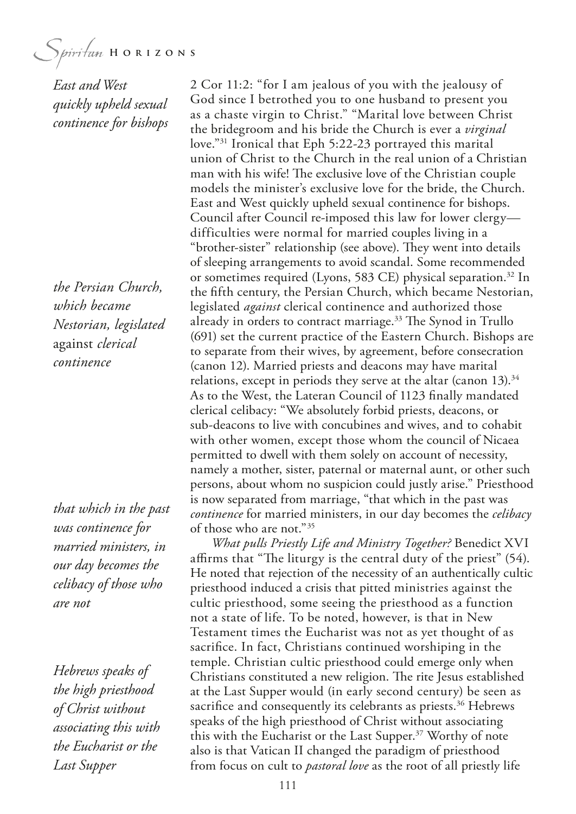$$
\underbrace{\phantom{\big(} S_{\textit{piritum}\;H\;O\;R\;I\;Z\;O\;N\;S}}
$$

*East and West quickly upheld sexual continence for bishops*

*the Persian Church, which became Nestorian, legislated*  against *clerical continence*

*that which in the past was continence for married ministers, in our day becomes the celibacy of those who are not*

*Hebrews speaks of the high priesthood of Christ without associating this with the Eucharist or the Last Supper*

2 Cor 11:2: "for I am jealous of you with the jealousy of God since I betrothed you to one husband to present you as a chaste virgin to Christ." "Marital love between Christ the bridegroom and his bride the Church is ever a *virginal*  love."31 Ironical that Eph 5:22-23 portrayed this marital union of Christ to the Church in the real union of a Christian man with his wife! The exclusive love of the Christian couple models the minister's exclusive love for the bride, the Church. East and West quickly upheld sexual continence for bishops. Council after Council re-imposed this law for lower clergy difficulties were normal for married couples living in a "brother-sister" relationship (see above). They went into details of sleeping arrangements to avoid scandal. Some recommended or sometimes required (Lyons, 583 CE) physical separation.<sup>32</sup> In the ffth century, the Persian Church, which became Nestorian, legislated *against* clerical continence and authorized those already in orders to contract marriage. $33$  The Synod in Trullo (691) set the current practice of the Eastern Church. Bishops are to separate from their wives, by agreement, before consecration (canon 12). Married priests and deacons may have marital relations, except in periods they serve at the altar (canon  $13$ ).<sup>34</sup> As to the West, the Lateran Council of 1123 fnally mandated clerical celibacy: "We absolutely forbid priests, deacons, or sub-deacons to live with concubines and wives, and to cohabit with other women, except those whom the council of Nicaea permitted to dwell with them solely on account of necessity, namely a mother, sister, paternal or maternal aunt, or other such persons, about whom no suspicion could justly arise." Priesthood is now separated from marriage, "that which in the past was *continence* for married ministers, in our day becomes the *celibacy* of those who are not."35

*What pulls Priestly Life and Ministry Together?* Benedict XVI affirms that "The liturgy is the central duty of the priest" (54). He noted that rejection of the necessity of an authentically cultic priesthood induced a crisis that pitted ministries against the cultic priesthood, some seeing the priesthood as a function not a state of life. To be noted, however, is that in New Testament times the Eucharist was not as yet thought of as sacrifce. In fact, Christians continued worshiping in the temple. Christian cultic priesthood could emerge only when Christians constituted a new religion. The rite Jesus established at the Last Supper would (in early second century) be seen as sacrifice and consequently its celebrants as priests.<sup>36</sup> Hebrews speaks of the high priesthood of Christ without associating this with the Eucharist or the Last Supper.<sup>37</sup> Worthy of note also is that Vatican II changed the paradigm of priesthood from focus on cult to *pastoral love* as the root of all priestly life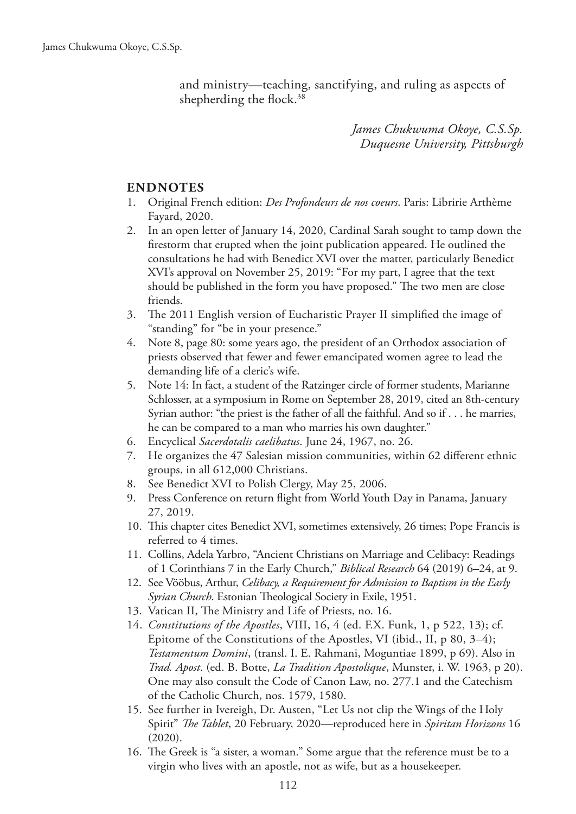and ministry—teaching, sanctifying, and ruling as aspects of shepherding the flock.<sup>38</sup>

> *James Chukwuma Okoye, C.S.Sp. Duquesne University, Pittsburgh*

#### **ENDNOTES**

- 1. Original French edition: *Des Profondeurs de nos coeurs*. Paris: Libririe Arthème Fayard, 2020.
- 2. In an open letter of January 14, 2020, Cardinal Sarah sought to tamp down the frestorm that erupted when the joint publication appeared. He outlined the consultations he had with Benedict XVI over the matter, particularly Benedict XVI's approval on November 25, 2019: "For my part, I agree that the text should be published in the form you have proposed." The two men are close friends.
- 3. The 2011 English version of Eucharistic Prayer II simplified the image of "standing" for "be in your presence."
- 4. Note 8, page 80: some years ago, the president of an Orthodox association of priests observed that fewer and fewer emancipated women agree to lead the demanding life of a cleric's wife.
- 5. Note 14: In fact, a student of the Ratzinger circle of former students, Marianne Schlosser, at a symposium in Rome on September 28, 2019, cited an 8th-century Syrian author: "the priest is the father of all the faithful. And so if . . . he marries, he can be compared to a man who marries his own daughter."
- 6. Encyclical *Sacerdotalis caelibatus*. June 24, 1967, no. 26.
- 7. He organizes the 47 Salesian mission communities, within 62 diferent ethnic groups, in all 612,000 Christians.
- 8. See Benedict XVI to Polish Clergy, May 25, 2006.
- 9. Press Conference on return fight from World Youth Day in Panama, January 27, 2019.
- 10. Tis chapter cites Benedict XVI, sometimes extensively, 26 times; Pope Francis is referred to 4 times.
- 11. Collins, Adela Yarbro, "Ancient Christians on Marriage and Celibacy: Readings of 1 Corinthians 7 in the Early Church," *Biblical Research* 64 (2019) 6–24, at 9.
- 12. See Vööbus, Arthur, *Celibacy, a Requirement for Admission to Baptism in the Early*  Syrian Church. Estonian Theological Society in Exile, 1951.
- 13. Vatican II, The Ministry and Life of Priests, no. 16.
- 14. *Constitutions of the Apostles*, VIII, 16, 4 (ed. F.X. Funk, 1, p 522, 13); cf. Epitome of the Constitutions of the Apostles, VI (ibid., II, p 80, 3–4); *Testamentum Domini*, (transl. I. E. Rahmani, Moguntiae 1899, p 69). Also in *Trad. Apost*. (ed. B. Botte, *La Tradition Apostolique*, Munster, i. W. 1963, p 20). One may also consult the Code of Canon Law, no. 277.1 and the Catechism of the Catholic Church, nos. 1579, 1580.
- 15. See further in Ivereigh, Dr. Austen, "Let Us not clip the Wings of the Holy Spirit" *The Tablet*, 20 February, 2020—reproduced here in *Spiritan Horizons* 16 (2020).
- 16. The Greek is "a sister, a woman." Some argue that the reference must be to a virgin who lives with an apostle, not as wife, but as a housekeeper.